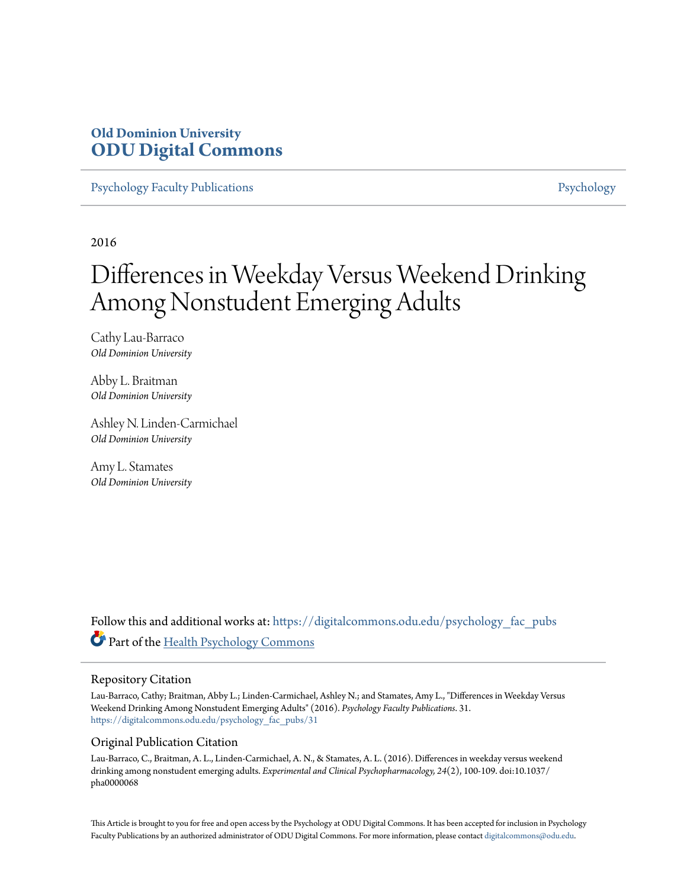## **Old Dominion University [ODU Digital Commons](https://digitalcommons.odu.edu?utm_source=digitalcommons.odu.edu%2Fpsychology_fac_pubs%2F31&utm_medium=PDF&utm_campaign=PDFCoverPages)**

[Psychology Faculty Publications](https://digitalcommons.odu.edu/psychology_fac_pubs?utm_source=digitalcommons.odu.edu%2Fpsychology_fac_pubs%2F31&utm_medium=PDF&utm_campaign=PDFCoverPages) **[Psychology](https://digitalcommons.odu.edu/psychology?utm_source=digitalcommons.odu.edu%2Fpsychology_fac_pubs%2F31&utm_medium=PDF&utm_campaign=PDFCoverPages)** Psychology

2016

# Differences in Weekday Versus Weekend Drinking Among Nonstudent Emerging Adults

Cathy Lau-Barraco *Old Dominion University*

Abby L. Braitman *Old Dominion University*

Ashley N. Linden-Carmichael *Old Dominion University*

Amy L. Stamates *Old Dominion University*

Follow this and additional works at: [https://digitalcommons.odu.edu/psychology\\_fac\\_pubs](https://digitalcommons.odu.edu/psychology_fac_pubs?utm_source=digitalcommons.odu.edu%2Fpsychology_fac_pubs%2F31&utm_medium=PDF&utm_campaign=PDFCoverPages) Part of the [Health Psychology Commons](http://network.bepress.com/hgg/discipline/411?utm_source=digitalcommons.odu.edu%2Fpsychology_fac_pubs%2F31&utm_medium=PDF&utm_campaign=PDFCoverPages)

#### Repository Citation

Lau-Barraco, Cathy; Braitman, Abby L.; Linden-Carmichael, Ashley N.; and Stamates, Amy L., "Differences in Weekday Versus Weekend Drinking Among Nonstudent Emerging Adults" (2016). *Psychology Faculty Publications*. 31. [https://digitalcommons.odu.edu/psychology\\_fac\\_pubs/31](https://digitalcommons.odu.edu/psychology_fac_pubs/31?utm_source=digitalcommons.odu.edu%2Fpsychology_fac_pubs%2F31&utm_medium=PDF&utm_campaign=PDFCoverPages)

## Original Publication Citation

Lau-Barraco, C., Braitman, A. L., Linden-Carmichael, A. N., & Stamates, A. L. (2016). Differences in weekday versus weekend drinking among nonstudent emerging adults. *Experimental and Clinical Psychopharmacology, 24*(2), 100-109. doi:10.1037/ pha0000068

This Article is brought to you for free and open access by the Psychology at ODU Digital Commons. It has been accepted for inclusion in Psychology Faculty Publications by an authorized administrator of ODU Digital Commons. For more information, please contact [digitalcommons@odu.edu.](mailto:digitalcommons@odu.edu)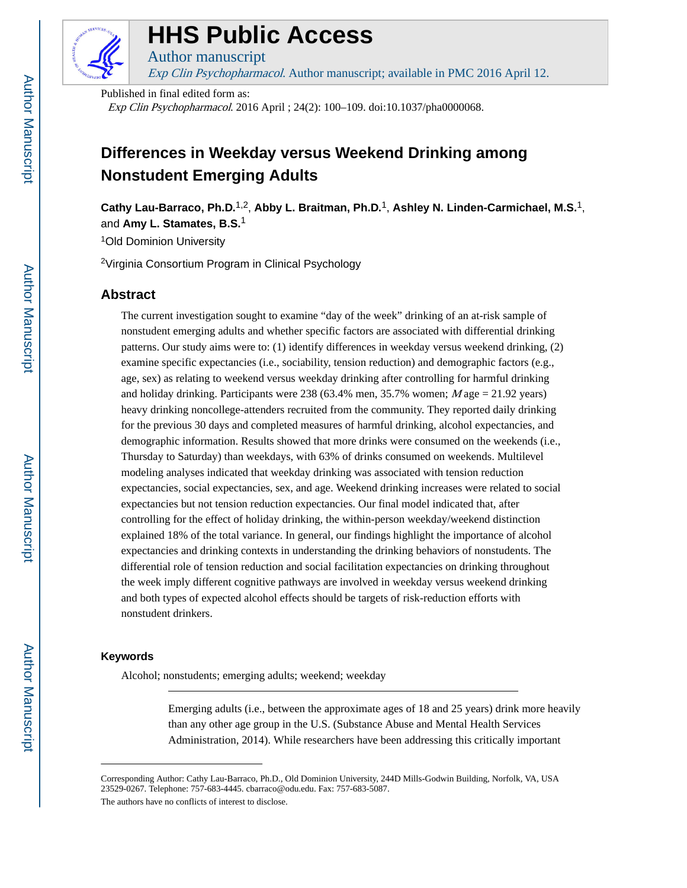

# **HHS Public Access**

Author manuscript Exp Clin Psychopharmacol. Author manuscript; available in PMC 2016 April 12. **HHS Public Access**<br>Author manuscript<br>*Exp Clin Psychopharmacol*. Author manuscript; available in PMC 2016 April 12.<br>Published in final edited form as:

Published in final edited form as:

Exp Clin Psychopharmacol. 2016 April ; 24(2): 100–109. doi:10.1037/pha0000068.

## **Differences in Weekday versus Weekend Drinking among Nonstudent Emerging Adults**

**Cathy Lau-Barraco, Ph.D.**1,2, **Abby L. Braitman, Ph.D.**1, **Ashley N. Linden-Carmichael, M.S.**1, and **Amy L. Stamates, B.S.**<sup>1</sup>

<sup>1</sup>Old Dominion University

<sup>2</sup>Virginia Consortium Program in Clinical Psychology

## **Abstract**

The current investigation sought to examine "day of the week" drinking of an at-risk sample of nonstudent emerging adults and whether specific factors are associated with differential drinking patterns. Our study aims were to: (1) identify differences in weekday versus weekend drinking, (2) examine specific expectancies (i.e., sociability, tension reduction) and demographic factors (e.g., age, sex) as relating to weekend versus weekday drinking after controlling for harmful drinking and holiday drinking. Participants were 238 (63.4% men, 35.7% women;  $M$  age = 21.92 years) heavy drinking noncollege-attenders recruited from the community. They reported daily drinking for the previous 30 days and completed measures of harmful drinking, alcohol expectancies, and demographic information. Results showed that more drinks were consumed on the weekends (i.e., Thursday to Saturday) than weekdays, with 63% of drinks consumed on weekends. Multilevel modeling analyses indicated that weekday drinking was associated with tension reduction expectancies, social expectancies, sex, and age. Weekend drinking increases were related to social expectancies but not tension reduction expectancies. Our final model indicated that, after controlling for the effect of holiday drinking, the within-person weekday/weekend distinction explained 18% of the total variance. In general, our findings highlight the importance of alcohol expectancies and drinking contexts in understanding the drinking behaviors of nonstudents. The differential role of tension reduction and social facilitation expectancies on drinking throughout the week imply different cognitive pathways are involved in weekday versus weekend drinking and both types of expected alcohol effects should be targets of risk-reduction efforts with nonstudent drinkers.

## **Keywords**

Alcohol; nonstudents; emerging adults; weekend; weekday

Emerging adults (i.e., between the approximate ages of 18 and 25 years) drink more heavily than any other age group in the U.S. (Substance Abuse and Mental Health Services Administration, 2014). While researchers have been addressing this critically important

Corresponding Author: Cathy Lau-Barraco, Ph.D., Old Dominion University, 244D Mills-Godwin Building, Norfolk, VA, USA 23529-0267. Telephone: 757-683-4445. cbarraco@odu.edu. Fax: 757-683-5087.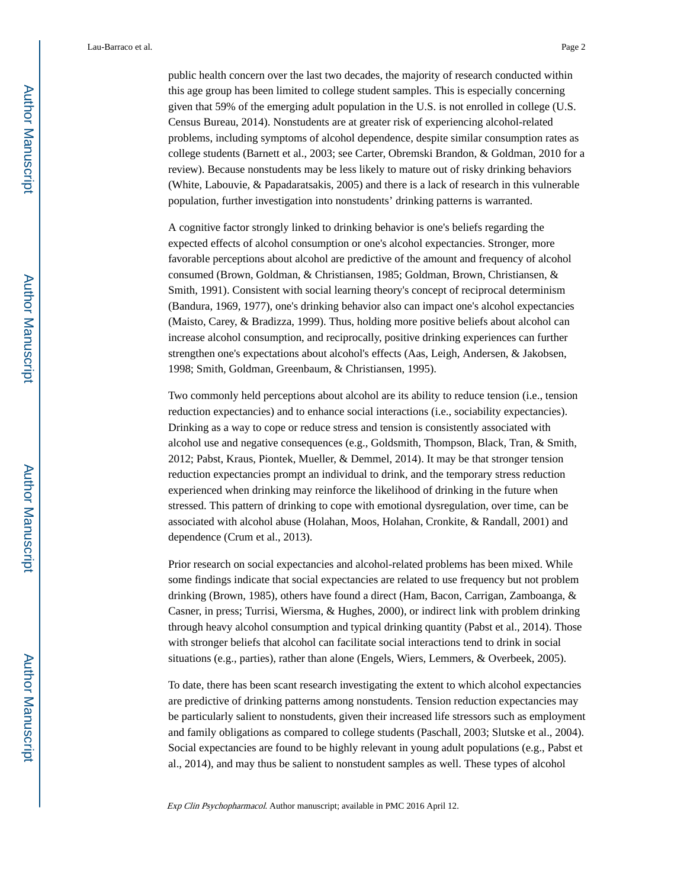public health concern over the last two decades, the majority of research conducted within this age group has been limited to college student samples. This is especially concerning given that 59% of the emerging adult population in the U.S. is not enrolled in college (U.S. Census Bureau, 2014). Nonstudents are at greater risk of experiencing alcohol-related problems, including symptoms of alcohol dependence, despite similar consumption rates as college students (Barnett et al., 2003; see Carter, Obremski Brandon, & Goldman, 2010 for a review). Because nonstudents may be less likely to mature out of risky drinking behaviors (White, Labouvie, & Papadaratsakis, 2005) and there is a lack of research in this vulnerable population, further investigation into nonstudents' drinking patterns is warranted.

A cognitive factor strongly linked to drinking behavior is one's beliefs regarding the expected effects of alcohol consumption or one's alcohol expectancies. Stronger, more favorable perceptions about alcohol are predictive of the amount and frequency of alcohol consumed (Brown, Goldman, & Christiansen, 1985; Goldman, Brown, Christiansen, & Smith, 1991). Consistent with social learning theory's concept of reciprocal determinism (Bandura, 1969, 1977), one's drinking behavior also can impact one's alcohol expectancies (Maisto, Carey, & Bradizza, 1999). Thus, holding more positive beliefs about alcohol can increase alcohol consumption, and reciprocally, positive drinking experiences can further strengthen one's expectations about alcohol's effects (Aas, Leigh, Andersen, & Jakobsen, 1998; Smith, Goldman, Greenbaum, & Christiansen, 1995).

Two commonly held perceptions about alcohol are its ability to reduce tension (i.e., tension reduction expectancies) and to enhance social interactions (i.e., sociability expectancies). Drinking as a way to cope or reduce stress and tension is consistently associated with alcohol use and negative consequences (e.g., Goldsmith, Thompson, Black, Tran, & Smith, 2012; Pabst, Kraus, Piontek, Mueller, & Demmel, 2014). It may be that stronger tension reduction expectancies prompt an individual to drink, and the temporary stress reduction experienced when drinking may reinforce the likelihood of drinking in the future when stressed. This pattern of drinking to cope with emotional dysregulation, over time, can be associated with alcohol abuse (Holahan, Moos, Holahan, Cronkite, & Randall, 2001) and dependence (Crum et al., 2013).

Prior research on social expectancies and alcohol-related problems has been mixed. While some findings indicate that social expectancies are related to use frequency but not problem drinking (Brown, 1985), others have found a direct (Ham, Bacon, Carrigan, Zamboanga, & Casner, in press; Turrisi, Wiersma, & Hughes, 2000), or indirect link with problem drinking through heavy alcohol consumption and typical drinking quantity (Pabst et al., 2014). Those with stronger beliefs that alcohol can facilitate social interactions tend to drink in social situations (e.g., parties), rather than alone (Engels, Wiers, Lemmers, & Overbeek, 2005).

To date, there has been scant research investigating the extent to which alcohol expectancies are predictive of drinking patterns among nonstudents. Tension reduction expectancies may be particularly salient to nonstudents, given their increased life stressors such as employment and family obligations as compared to college students (Paschall, 2003; Slutske et al., 2004). Social expectancies are found to be highly relevant in young adult populations (e.g., Pabst et al., 2014), and may thus be salient to nonstudent samples as well. These types of alcohol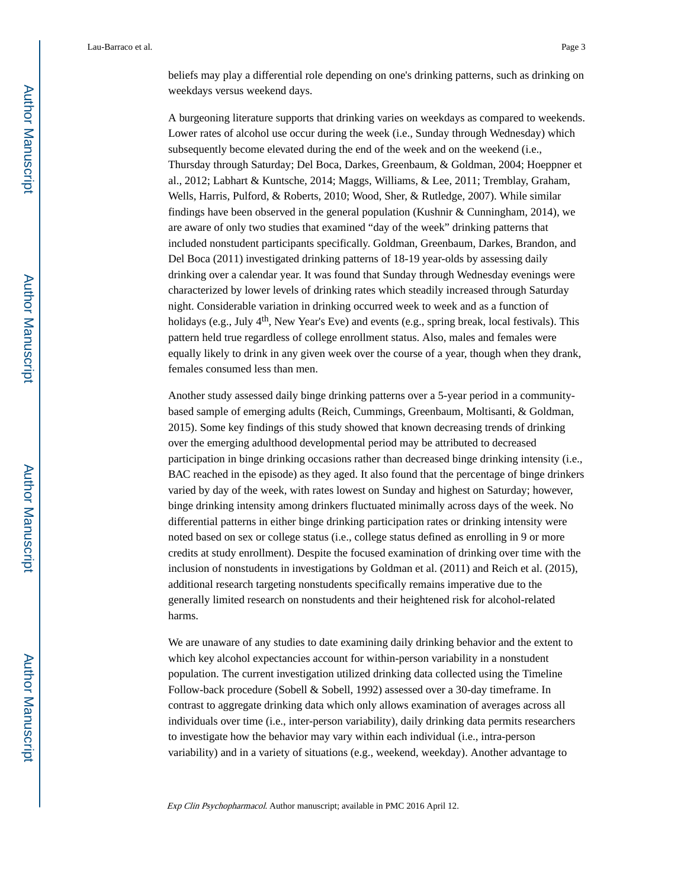beliefs may play a differential role depending on one's drinking patterns, such as drinking on weekdays versus weekend days.

A burgeoning literature supports that drinking varies on weekdays as compared to weekends. Lower rates of alcohol use occur during the week (i.e., Sunday through Wednesday) which subsequently become elevated during the end of the week and on the weekend (i.e., Thursday through Saturday; Del Boca, Darkes, Greenbaum, & Goldman, 2004; Hoeppner et al., 2012; Labhart & Kuntsche, 2014; Maggs, Williams, & Lee, 2011; Tremblay, Graham, Wells, Harris, Pulford, & Roberts, 2010; Wood, Sher, & Rutledge, 2007). While similar findings have been observed in the general population (Kushnir & Cunningham, 2014), we are aware of only two studies that examined "day of the week" drinking patterns that included nonstudent participants specifically. Goldman, Greenbaum, Darkes, Brandon, and Del Boca (2011) investigated drinking patterns of 18-19 year-olds by assessing daily drinking over a calendar year. It was found that Sunday through Wednesday evenings were characterized by lower levels of drinking rates which steadily increased through Saturday night. Considerable variation in drinking occurred week to week and as a function of holidays (e.g., July  $4<sup>th</sup>$ , New Year's Eve) and events (e.g., spring break, local festivals). This pattern held true regardless of college enrollment status. Also, males and females were equally likely to drink in any given week over the course of a year, though when they drank, females consumed less than men.

Another study assessed daily binge drinking patterns over a 5-year period in a communitybased sample of emerging adults (Reich, Cummings, Greenbaum, Moltisanti, & Goldman, 2015). Some key findings of this study showed that known decreasing trends of drinking over the emerging adulthood developmental period may be attributed to decreased participation in binge drinking occasions rather than decreased binge drinking intensity (i.e., BAC reached in the episode) as they aged. It also found that the percentage of binge drinkers varied by day of the week, with rates lowest on Sunday and highest on Saturday; however, binge drinking intensity among drinkers fluctuated minimally across days of the week. No differential patterns in either binge drinking participation rates or drinking intensity were noted based on sex or college status (i.e., college status defined as enrolling in 9 or more credits at study enrollment). Despite the focused examination of drinking over time with the inclusion of nonstudents in investigations by Goldman et al. (2011) and Reich et al. (2015), additional research targeting nonstudents specifically remains imperative due to the generally limited research on nonstudents and their heightened risk for alcohol-related harms.

We are unaware of any studies to date examining daily drinking behavior and the extent to which key alcohol expectancies account for within-person variability in a nonstudent population. The current investigation utilized drinking data collected using the Timeline Follow-back procedure (Sobell & Sobell, 1992) assessed over a 30-day timeframe. In contrast to aggregate drinking data which only allows examination of averages across all individuals over time (i.e., inter-person variability), daily drinking data permits researchers to investigate how the behavior may vary within each individual (i.e., intra-person variability) and in a variety of situations (e.g., weekend, weekday). Another advantage to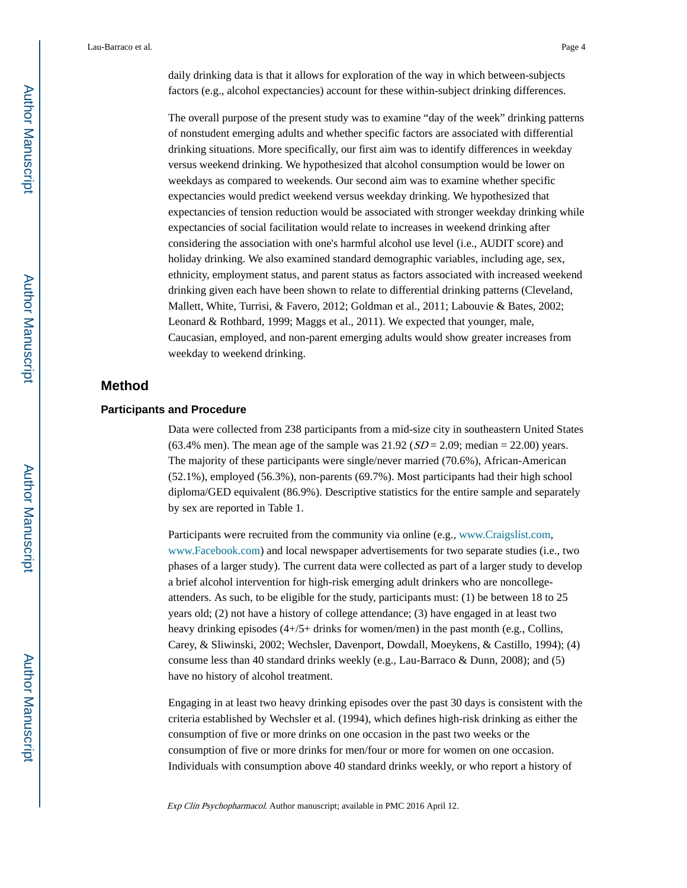daily drinking data is that it allows for exploration of the way in which between-subjects factors (e.g., alcohol expectancies) account for these within-subject drinking differences.

The overall purpose of the present study was to examine "day of the week" drinking patterns of nonstudent emerging adults and whether specific factors are associated with differential drinking situations. More specifically, our first aim was to identify differences in weekday versus weekend drinking. We hypothesized that alcohol consumption would be lower on weekdays as compared to weekends. Our second aim was to examine whether specific expectancies would predict weekend versus weekday drinking. We hypothesized that expectancies of tension reduction would be associated with stronger weekday drinking while expectancies of social facilitation would relate to increases in weekend drinking after considering the association with one's harmful alcohol use level (i.e., AUDIT score) and holiday drinking. We also examined standard demographic variables, including age, sex, ethnicity, employment status, and parent status as factors associated with increased weekend drinking given each have been shown to relate to differential drinking patterns (Cleveland, Mallett, White, Turrisi, & Favero, 2012; Goldman et al., 2011; Labouvie & Bates, 2002; Leonard & Rothbard, 1999; Maggs et al., 2011). We expected that younger, male, Caucasian, employed, and non-parent emerging adults would show greater increases from weekday to weekend drinking.

## **Method**

## **Participants and Procedure**

Data were collected from 238 participants from a mid-size city in southeastern United States (63.4% men). The mean age of the sample was  $21.92$  ( $SD = 2.09$ ; median = 22.00) years. The majority of these participants were single/never married (70.6%), African-American (52.1%), employed (56.3%), non-parents (69.7%). Most participants had their high school diploma/GED equivalent (86.9%). Descriptive statistics for the entire sample and separately by sex are reported in Table 1.

Participants were recruited from the community via online (e.g., [www.Craigslist.com,](http://www.Craigslist.com) [www.Facebook.com\)](http://www.Facebook.com) and local newspaper advertisements for two separate studies (i.e., two phases of a larger study). The current data were collected as part of a larger study to develop a brief alcohol intervention for high-risk emerging adult drinkers who are noncollegeattenders. As such, to be eligible for the study, participants must: (1) be between 18 to 25 years old; (2) not have a history of college attendance; (3) have engaged in at least two heavy drinking episodes (4+/5+ drinks for women/men) in the past month (e.g., Collins, Carey, & Sliwinski, 2002; Wechsler, Davenport, Dowdall, Moeykens, & Castillo, 1994); (4) consume less than 40 standard drinks weekly (e.g., Lau-Barraco & Dunn, 2008); and (5) have no history of alcohol treatment.

Engaging in at least two heavy drinking episodes over the past 30 days is consistent with the criteria established by Wechsler et al. (1994), which defines high-risk drinking as either the consumption of five or more drinks on one occasion in the past two weeks or the consumption of five or more drinks for men/four or more for women on one occasion. Individuals with consumption above 40 standard drinks weekly, or who report a history of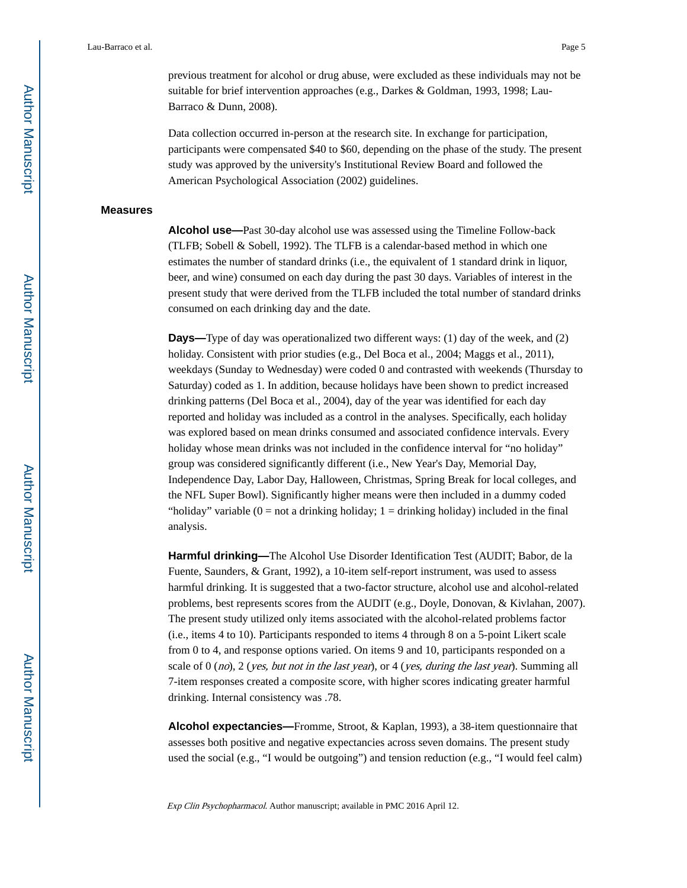previous treatment for alcohol or drug abuse, were excluded as these individuals may not be suitable for brief intervention approaches (e.g., Darkes & Goldman, 1993, 1998; Lau-Barraco & Dunn, 2008).

Data collection occurred in-person at the research site. In exchange for participation, participants were compensated \$40 to \$60, depending on the phase of the study. The present study was approved by the university's Institutional Review Board and followed the American Psychological Association (2002) guidelines.

#### **Measures**

**Alcohol use—**Past 30-day alcohol use was assessed using the Timeline Follow-back (TLFB; Sobell & Sobell, 1992). The TLFB is a calendar-based method in which one estimates the number of standard drinks (i.e., the equivalent of 1 standard drink in liquor, beer, and wine) consumed on each day during the past 30 days. Variables of interest in the present study that were derived from the TLFB included the total number of standard drinks consumed on each drinking day and the date.

**Days—**Type of day was operationalized two different ways: (1) day of the week, and (2) holiday. Consistent with prior studies (e.g., Del Boca et al., 2004; Maggs et al., 2011), weekdays (Sunday to Wednesday) were coded 0 and contrasted with weekends (Thursday to Saturday) coded as 1. In addition, because holidays have been shown to predict increased drinking patterns (Del Boca et al., 2004), day of the year was identified for each day reported and holiday was included as a control in the analyses. Specifically, each holiday was explored based on mean drinks consumed and associated confidence intervals. Every holiday whose mean drinks was not included in the confidence interval for "no holiday" group was considered significantly different (i.e., New Year's Day, Memorial Day, Independence Day, Labor Day, Halloween, Christmas, Spring Break for local colleges, and the NFL Super Bowl). Significantly higher means were then included in a dummy coded "holiday" variable  $(0 = not a drinking holiday; 1 = drinking holiday)$  included in the final analysis.

**Harmful drinking—**The Alcohol Use Disorder Identification Test (AUDIT; Babor, de la Fuente, Saunders, & Grant, 1992), a 10-item self-report instrument, was used to assess harmful drinking. It is suggested that a two-factor structure, alcohol use and alcohol-related problems, best represents scores from the AUDIT (e.g., Doyle, Donovan, & Kivlahan, 2007). The present study utilized only items associated with the alcohol-related problems factor (i.e., items 4 to 10). Participants responded to items 4 through 8 on a 5-point Likert scale from 0 to 4, and response options varied. On items 9 and 10, participants responded on a scale of  $0 \ (no)$ ,  $2 \ (yes, but not in the last year)$ , or  $4 \ (ves, during the last year)$ . Summing all 7-item responses created a composite score, with higher scores indicating greater harmful drinking. Internal consistency was .78.

**Alcohol expectancies—**Fromme, Stroot, & Kaplan, 1993), a 38-item questionnaire that assesses both positive and negative expectancies across seven domains. The present study used the social (e.g., "I would be outgoing") and tension reduction (e.g., "I would feel calm)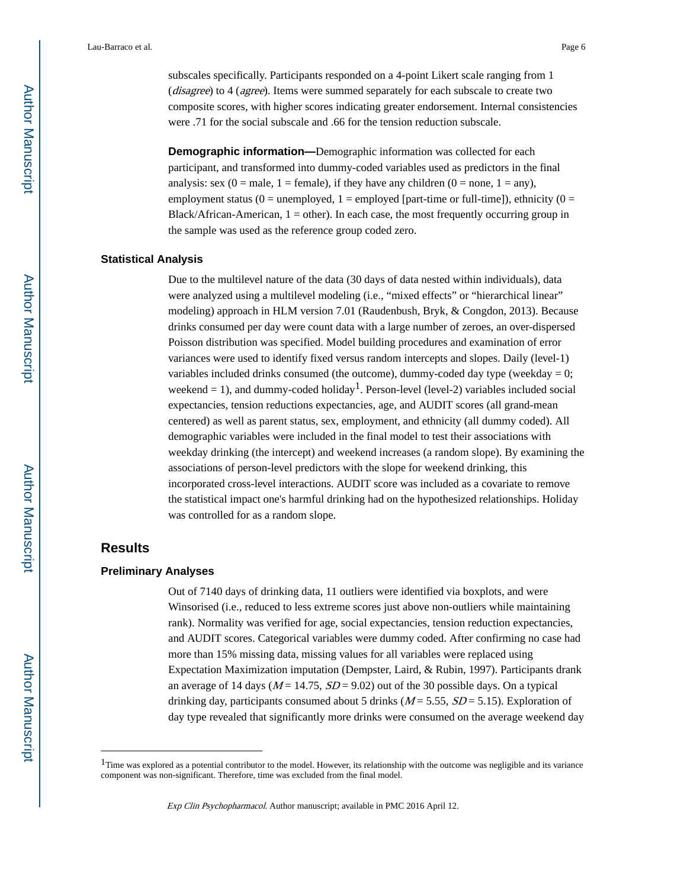subscales specifically. Participants responded on a 4-point Likert scale ranging from 1 (disagree) to 4 (agree). Items were summed separately for each subscale to create two composite scores, with higher scores indicating greater endorsement. Internal consistencies were .71 for the social subscale and .66 for the tension reduction subscale.

**Demographic information—**Demographic information was collected for each participant, and transformed into dummy-coded variables used as predictors in the final analysis: sex  $(0 = male, 1 = female)$ , if they have any children  $(0 = none, 1 = any)$ , employment status (0 = unemployed, 1 = employed [part-time or full-time]), ethnicity (0 = Black/African-American,  $1 =$  other). In each case, the most frequently occurring group in the sample was used as the reference group coded zero.

#### **Statistical Analysis**

Due to the multilevel nature of the data (30 days of data nested within individuals), data were analyzed using a multilevel modeling (i.e., "mixed effects" or "hierarchical linear" modeling) approach in HLM version 7.01 (Raudenbush, Bryk, & Congdon, 2013). Because drinks consumed per day were count data with a large number of zeroes, an over-dispersed Poisson distribution was specified. Model building procedures and examination of error variances were used to identify fixed versus random intercepts and slopes. Daily (level-1) variables included drinks consumed (the outcome), dummy-coded day type (weekday  $= 0$ ; weekend = 1), and dummy-coded holiday<sup>1</sup>. Person-level (level-2) variables included social expectancies, tension reductions expectancies, age, and AUDIT scores (all grand-mean centered) as well as parent status, sex, employment, and ethnicity (all dummy coded). All demographic variables were included in the final model to test their associations with weekday drinking (the intercept) and weekend increases (a random slope). By examining the associations of person-level predictors with the slope for weekend drinking, this incorporated cross-level interactions. AUDIT score was included as a covariate to remove the statistical impact one's harmful drinking had on the hypothesized relationships. Holiday was controlled for as a random slope.

## **Results**

#### **Preliminary Analyses**

Out of 7140 days of drinking data, 11 outliers were identified via boxplots, and were Winsorised (i.e., reduced to less extreme scores just above non-outliers while maintaining rank). Normality was verified for age, social expectancies, tension reduction expectancies, and AUDIT scores. Categorical variables were dummy coded. After confirming no case had more than 15% missing data, missing values for all variables were replaced using Expectation Maximization imputation (Dempster, Laird, & Rubin, 1997). Participants drank an average of 14 days ( $M = 14.75$ ,  $SD = 9.02$ ) out of the 30 possible days. On a typical drinking day, participants consumed about 5 drinks ( $M = 5.55$ ,  $SD = 5.15$ ). Exploration of day type revealed that significantly more drinks were consumed on the average weekend day

 $1$ Time was explored as a potential contributor to the model. However, its relationship with the outcome was negligible and its variance component was non-significant. Therefore, time was excluded from the final model.

Exp Clin Psychopharmacol. Author manuscript; available in PMC 2016 April 12.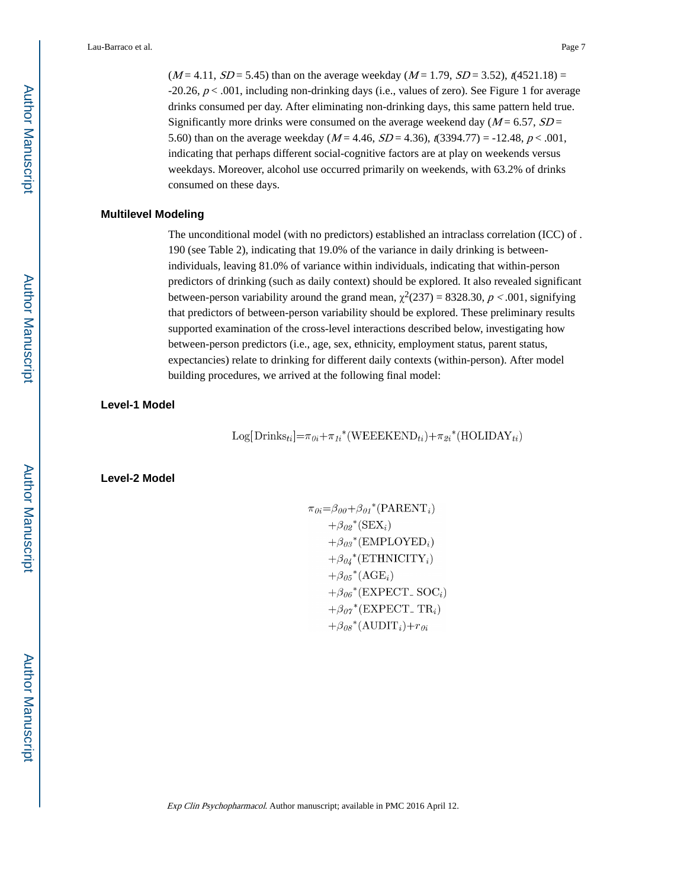$(M = 4.11, SD = 5.45)$  than on the average weekday  $(M = 1.79, SD = 3.52)$ ,  $(4521.18) =$ -20.26,  $p < .001$ , including non-drinking days (i.e., values of zero). See Figure 1 for average drinks consumed per day. After eliminating non-drinking days, this same pattern held true. Significantly more drinks were consumed on the average weekend day ( $M = 6.57$ ,  $SD =$ 5.60) than on the average weekday ( $M = 4.46$ ,  $SD = 4.36$ ),  $\pi(3394.77) = -12.48$ ,  $p < .001$ , indicating that perhaps different social-cognitive factors are at play on weekends versus weekdays. Moreover, alcohol use occurred primarily on weekends, with 63.2% of drinks consumed on these days.

#### **Multilevel Modeling**

The unconditional model (with no predictors) established an intraclass correlation (ICC) of . 190 (see Table 2), indicating that 19.0% of the variance in daily drinking is betweenindividuals, leaving 81.0% of variance within individuals, indicating that within-person predictors of drinking (such as daily context) should be explored. It also revealed significant between-person variability around the grand mean,  $\chi^2(237) = 8328.30$ ,  $p < .001$ , signifying that predictors of between-person variability should be explored. These preliminary results supported examination of the cross-level interactions described below, investigating how between-person predictors (i.e., age, sex, ethnicity, employment status, parent status, expectancies) relate to drinking for different daily contexts (within-person). After model building procedures, we arrived at the following final model:

**Level-1 Model**

Log[Drinks<sub>ti</sub>]= $\pi_{0i}$ + $\pi_{1i}$ <sup>\*</sup>(WEEEKEND<sub>ti</sub>)+ $\pi_{2i}$ <sup>\*</sup>(HOLIDAY<sub>ti</sub>)

**Level-2 Model**

$$
\pi_{0i} = \beta_{00} + \beta_{01}^* (\text{PARENT}_i) \n+ \beta_{02}^* (\text{SEX}_i) \n+ \beta_{03}^* (\text{EMPLOFD}_i) \n+ \beta_{04}^* (\text{ETHNICITY}_i) \n+ \beta_{05}^* (\text{AGE}_i) \n+ \beta_{06}^* (\text{EXPECTSOC}_i) \n+ \beta_{07}^* (\text{EXPECTSOC}_i) \n+ \beta_{08}^* (\text{AUDIT}_i) + r_{0i}
$$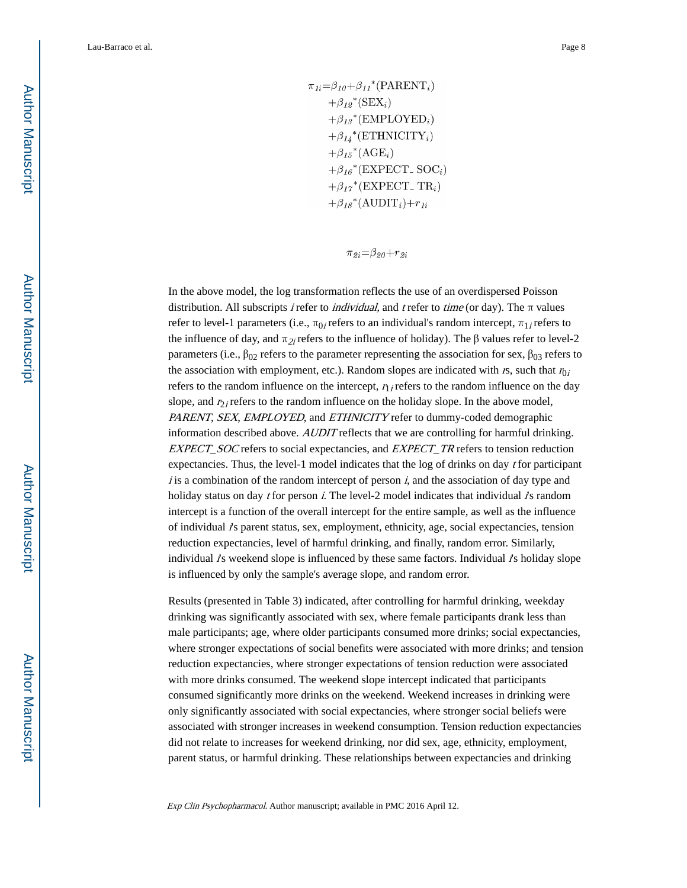$\pi_{1i} = \beta_{10} + \beta_{11}$ <sup>\*</sup>(PARENT<sub>i</sub>)  $+\beta_{12}$ <sup>\*</sup>(SEX<sub>i</sub>)  $+\beta_{13}$ <sup>\*</sup>(EMPLOYED<sub>i</sub>)  $+\beta_{14}$ <sup>\*</sup>(ETHNICITY<sub>i</sub>)  $+\beta_{15}$ \*(AGE<sub>i</sub>)  $+\beta_{16}$ <sup>\*</sup>(EXPECT\_SOC<sub>i</sub>)  $+\beta_{17}$ <sup>\*</sup>(EXPECT<sub>-TR<sub>i</sub>)</sub>  $+\beta_{18}$ <sup>\*</sup>(AUDIT<sub>i</sub>)+r<sub>1i</sub>

 $\pi_{2i} = \beta_{20} + r_{2i}$ 

In the above model, the log transformation reflects the use of an overdispersed Poisson distribution. All subscripts *i* refer to *individual*, and *t* refer to *time* (or day). The  $\pi$  values refer to level-1 parameters (i.e.,  $\pi_{0i}$  refers to an individual's random intercept,  $\pi_{1i}$  refers to the influence of day, and  $\pi_{2i}$  refers to the influence of holiday). The  $\beta$  values refer to level-2 parameters (i.e.,  $β_{02}$  refers to the parameter representing the association for sex,  $β_{03}$  refers to the association with employment, etc.). Random slopes are indicated with  $rs$ , such that  $r_{0i}$ refers to the random influence on the intercept,  $r_{1i}$  refers to the random influence on the day slope, and  $r_{2i}$  refers to the random influence on the holiday slope. In the above model, PARENT, SEX, EMPLOYED, and ETHNICITY refer to dummy-coded demographic information described above. AUDIT reflects that we are controlling for harmful drinking. EXPECT\_SOC refers to social expectancies, and EXPECT\_TR refers to tension reduction expectancies. Thus, the level-1 model indicates that the log of drinks on day  $t$  for participant  $i$  is a combination of the random intercept of person  $i$ , and the association of day type and holiday status on day  $t$  for person  $\dot{\textit{i}}$ . The level-2 model indicates that individual  $\dot{\textit{i}}$ 's random intercept is a function of the overall intercept for the entire sample, as well as the influence of individual i's parent status, sex, employment, ethnicity, age, social expectancies, tension reduction expectancies, level of harmful drinking, and finally, random error. Similarly, individual is weekend slope is influenced by these same factors. Individual is holiday slope is influenced by only the sample's average slope, and random error.

Results (presented in Table 3) indicated, after controlling for harmful drinking, weekday drinking was significantly associated with sex, where female participants drank less than male participants; age, where older participants consumed more drinks; social expectancies, where stronger expectations of social benefits were associated with more drinks; and tension reduction expectancies, where stronger expectations of tension reduction were associated with more drinks consumed. The weekend slope intercept indicated that participants consumed significantly more drinks on the weekend. Weekend increases in drinking were only significantly associated with social expectancies, where stronger social beliefs were associated with stronger increases in weekend consumption. Tension reduction expectancies did not relate to increases for weekend drinking, nor did sex, age, ethnicity, employment, parent status, or harmful drinking. These relationships between expectancies and drinking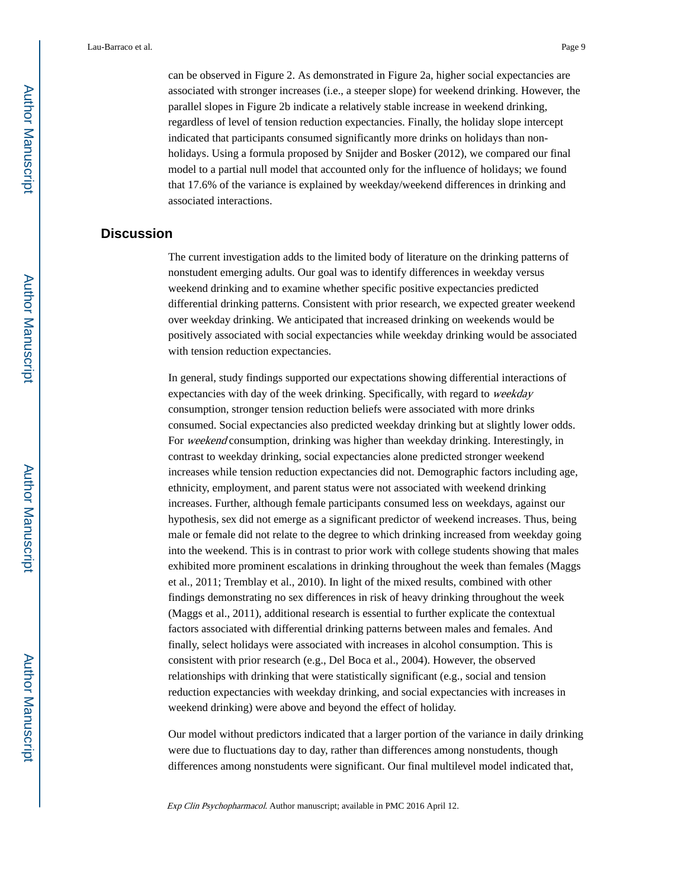can be observed in Figure 2. As demonstrated in Figure 2a, higher social expectancies are associated with stronger increases (i.e., a steeper slope) for weekend drinking. However, the parallel slopes in Figure 2b indicate a relatively stable increase in weekend drinking, regardless of level of tension reduction expectancies. Finally, the holiday slope intercept indicated that participants consumed significantly more drinks on holidays than nonholidays. Using a formula proposed by Snijder and Bosker (2012), we compared our final model to a partial null model that accounted only for the influence of holidays; we found that 17.6% of the variance is explained by weekday/weekend differences in drinking and associated interactions.

## **Discussion**

The current investigation adds to the limited body of literature on the drinking patterns of nonstudent emerging adults. Our goal was to identify differences in weekday versus weekend drinking and to examine whether specific positive expectancies predicted differential drinking patterns. Consistent with prior research, we expected greater weekend over weekday drinking. We anticipated that increased drinking on weekends would be positively associated with social expectancies while weekday drinking would be associated with tension reduction expectancies.

In general, study findings supported our expectations showing differential interactions of expectancies with day of the week drinking. Specifically, with regard to weekday consumption, stronger tension reduction beliefs were associated with more drinks consumed. Social expectancies also predicted weekday drinking but at slightly lower odds. For *weekend* consumption, drinking was higher than weekday drinking. Interestingly, in contrast to weekday drinking, social expectancies alone predicted stronger weekend increases while tension reduction expectancies did not. Demographic factors including age, ethnicity, employment, and parent status were not associated with weekend drinking increases. Further, although female participants consumed less on weekdays, against our hypothesis, sex did not emerge as a significant predictor of weekend increases. Thus, being male or female did not relate to the degree to which drinking increased from weekday going into the weekend. This is in contrast to prior work with college students showing that males exhibited more prominent escalations in drinking throughout the week than females (Maggs et al., 2011; Tremblay et al., 2010). In light of the mixed results, combined with other findings demonstrating no sex differences in risk of heavy drinking throughout the week (Maggs et al., 2011), additional research is essential to further explicate the contextual factors associated with differential drinking patterns between males and females. And finally, select holidays were associated with increases in alcohol consumption. This is consistent with prior research (e.g., Del Boca et al., 2004). However, the observed relationships with drinking that were statistically significant (e.g., social and tension reduction expectancies with weekday drinking, and social expectancies with increases in weekend drinking) were above and beyond the effect of holiday.

Our model without predictors indicated that a larger portion of the variance in daily drinking were due to fluctuations day to day, rather than differences among nonstudents, though differences among nonstudents were significant. Our final multilevel model indicated that,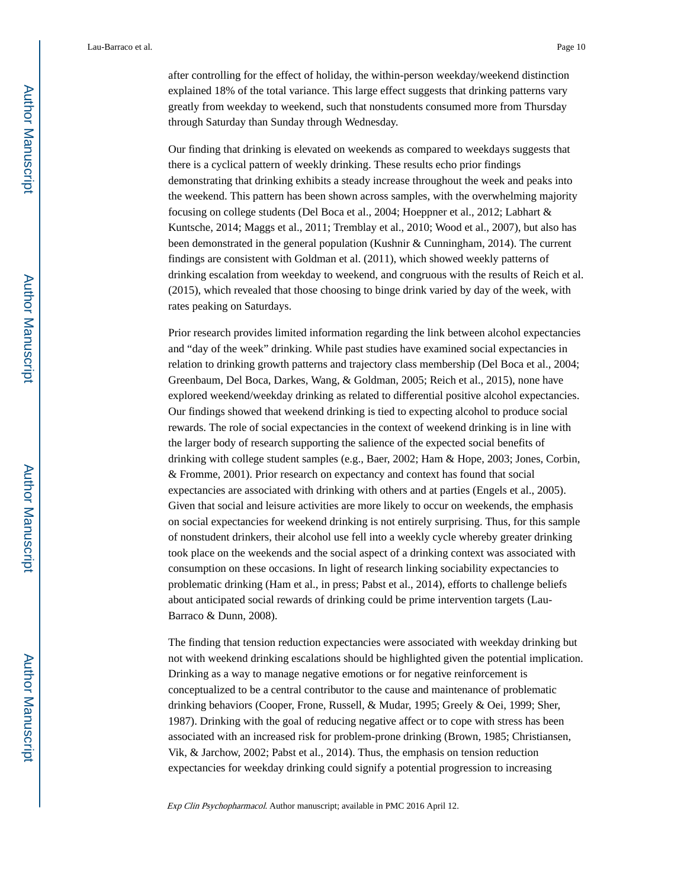after controlling for the effect of holiday, the within-person weekday/weekend distinction explained 18% of the total variance. This large effect suggests that drinking patterns vary greatly from weekday to weekend, such that nonstudents consumed more from Thursday through Saturday than Sunday through Wednesday.

Our finding that drinking is elevated on weekends as compared to weekdays suggests that there is a cyclical pattern of weekly drinking. These results echo prior findings demonstrating that drinking exhibits a steady increase throughout the week and peaks into the weekend. This pattern has been shown across samples, with the overwhelming majority focusing on college students (Del Boca et al., 2004; Hoeppner et al., 2012; Labhart & Kuntsche, 2014; Maggs et al., 2011; Tremblay et al., 2010; Wood et al., 2007), but also has been demonstrated in the general population (Kushnir & Cunningham, 2014). The current findings are consistent with Goldman et al. (2011), which showed weekly patterns of drinking escalation from weekday to weekend, and congruous with the results of Reich et al. (2015), which revealed that those choosing to binge drink varied by day of the week, with rates peaking on Saturdays.

Prior research provides limited information regarding the link between alcohol expectancies and "day of the week" drinking. While past studies have examined social expectancies in relation to drinking growth patterns and trajectory class membership (Del Boca et al., 2004; Greenbaum, Del Boca, Darkes, Wang, & Goldman, 2005; Reich et al., 2015), none have explored weekend/weekday drinking as related to differential positive alcohol expectancies. Our findings showed that weekend drinking is tied to expecting alcohol to produce social rewards. The role of social expectancies in the context of weekend drinking is in line with the larger body of research supporting the salience of the expected social benefits of drinking with college student samples (e.g., Baer, 2002; Ham & Hope, 2003; Jones, Corbin, & Fromme, 2001). Prior research on expectancy and context has found that social expectancies are associated with drinking with others and at parties (Engels et al., 2005). Given that social and leisure activities are more likely to occur on weekends, the emphasis on social expectancies for weekend drinking is not entirely surprising. Thus, for this sample of nonstudent drinkers, their alcohol use fell into a weekly cycle whereby greater drinking took place on the weekends and the social aspect of a drinking context was associated with consumption on these occasions. In light of research linking sociability expectancies to problematic drinking (Ham et al., in press; Pabst et al., 2014), efforts to challenge beliefs about anticipated social rewards of drinking could be prime intervention targets (Lau-Barraco & Dunn, 2008).

The finding that tension reduction expectancies were associated with weekday drinking but not with weekend drinking escalations should be highlighted given the potential implication. Drinking as a way to manage negative emotions or for negative reinforcement is conceptualized to be a central contributor to the cause and maintenance of problematic drinking behaviors (Cooper, Frone, Russell, & Mudar, 1995; Greely & Oei, 1999; Sher, 1987). Drinking with the goal of reducing negative affect or to cope with stress has been associated with an increased risk for problem-prone drinking (Brown, 1985; Christiansen, Vik, & Jarchow, 2002; Pabst et al., 2014). Thus, the emphasis on tension reduction expectancies for weekday drinking could signify a potential progression to increasing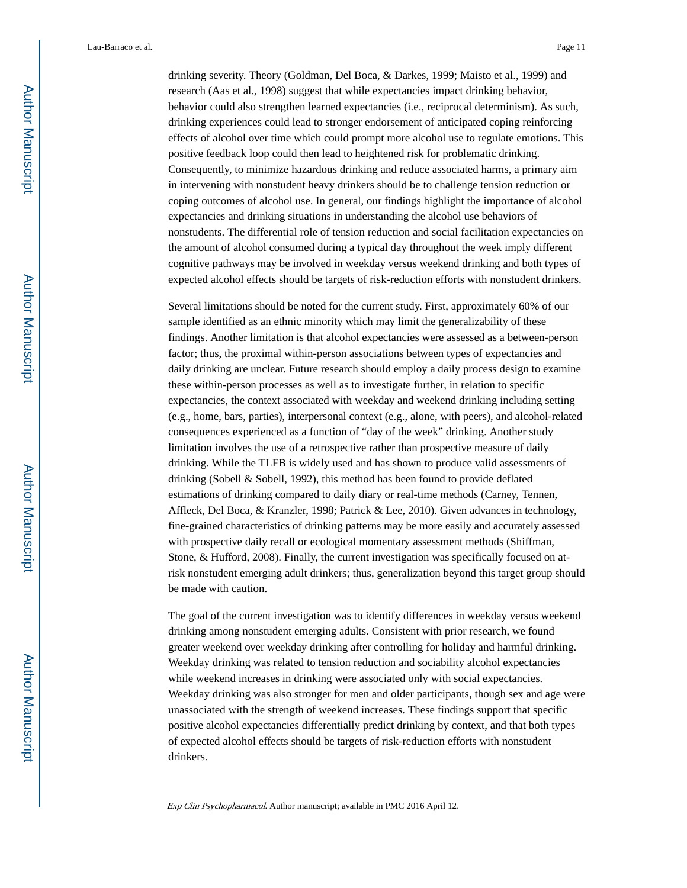drinking severity. Theory (Goldman, Del Boca, & Darkes, 1999; Maisto et al., 1999) and research (Aas et al., 1998) suggest that while expectancies impact drinking behavior, behavior could also strengthen learned expectancies (i.e., reciprocal determinism). As such, drinking experiences could lead to stronger endorsement of anticipated coping reinforcing effects of alcohol over time which could prompt more alcohol use to regulate emotions. This positive feedback loop could then lead to heightened risk for problematic drinking. Consequently, to minimize hazardous drinking and reduce associated harms, a primary aim in intervening with nonstudent heavy drinkers should be to challenge tension reduction or coping outcomes of alcohol use. In general, our findings highlight the importance of alcohol expectancies and drinking situations in understanding the alcohol use behaviors of nonstudents. The differential role of tension reduction and social facilitation expectancies on the amount of alcohol consumed during a typical day throughout the week imply different cognitive pathways may be involved in weekday versus weekend drinking and both types of expected alcohol effects should be targets of risk-reduction efforts with nonstudent drinkers.

Several limitations should be noted for the current study. First, approximately 60% of our sample identified as an ethnic minority which may limit the generalizability of these findings. Another limitation is that alcohol expectancies were assessed as a between-person factor; thus, the proximal within-person associations between types of expectancies and daily drinking are unclear. Future research should employ a daily process design to examine these within-person processes as well as to investigate further, in relation to specific expectancies, the context associated with weekday and weekend drinking including setting (e.g., home, bars, parties), interpersonal context (e.g., alone, with peers), and alcohol-related consequences experienced as a function of "day of the week" drinking. Another study limitation involves the use of a retrospective rather than prospective measure of daily drinking. While the TLFB is widely used and has shown to produce valid assessments of drinking (Sobell & Sobell, 1992), this method has been found to provide deflated estimations of drinking compared to daily diary or real-time methods (Carney, Tennen, Affleck, Del Boca, & Kranzler, 1998; Patrick & Lee, 2010). Given advances in technology, fine-grained characteristics of drinking patterns may be more easily and accurately assessed with prospective daily recall or ecological momentary assessment methods (Shiffman, Stone, & Hufford, 2008). Finally, the current investigation was specifically focused on atrisk nonstudent emerging adult drinkers; thus, generalization beyond this target group should be made with caution.

The goal of the current investigation was to identify differences in weekday versus weekend drinking among nonstudent emerging adults. Consistent with prior research, we found greater weekend over weekday drinking after controlling for holiday and harmful drinking. Weekday drinking was related to tension reduction and sociability alcohol expectancies while weekend increases in drinking were associated only with social expectancies. Weekday drinking was also stronger for men and older participants, though sex and age were unassociated with the strength of weekend increases. These findings support that specific positive alcohol expectancies differentially predict drinking by context, and that both types of expected alcohol effects should be targets of risk-reduction efforts with nonstudent drinkers.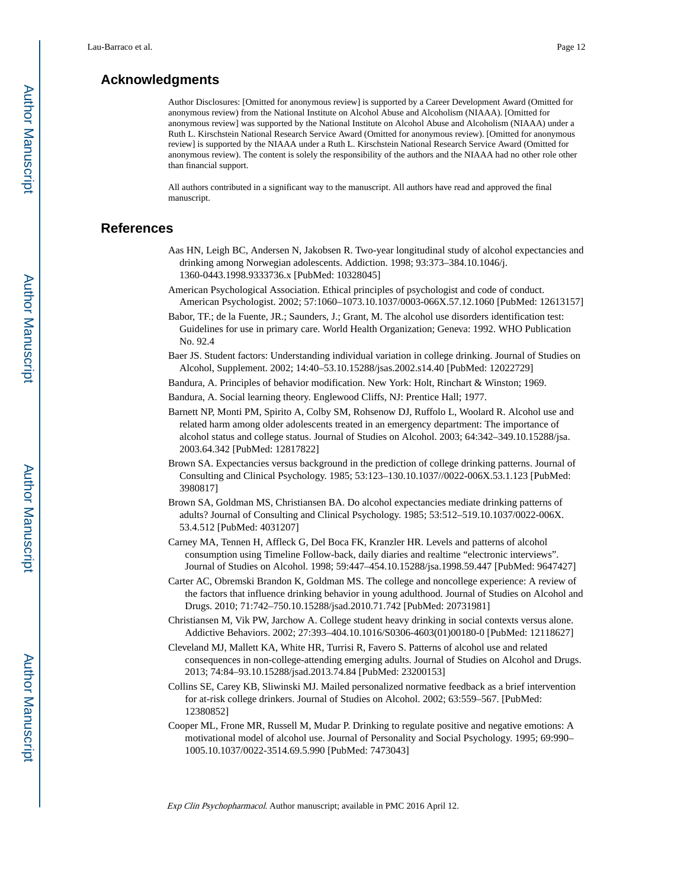## **Acknowledgments**

Author Disclosures: [Omitted for anonymous review] is supported by a Career Development Award (Omitted for anonymous review) from the National Institute on Alcohol Abuse and Alcoholism (NIAAA). [Omitted for anonymous review] was supported by the National Institute on Alcohol Abuse and Alcoholism (NIAAA) under a Ruth L. Kirschstein National Research Service Award (Omitted for anonymous review). [Omitted for anonymous review] is supported by the NIAAA under a Ruth L. Kirschstein National Research Service Award (Omitted for anonymous review). The content is solely the responsibility of the authors and the NIAAA had no other role other than financial support.

All authors contributed in a significant way to the manuscript. All authors have read and approved the final manuscript.

## **References**

- Aas HN, Leigh BC, Andersen N, Jakobsen R. Two-year longitudinal study of alcohol expectancies and drinking among Norwegian adolescents. Addiction. 1998; 93:373–384.10.1046/j. 1360-0443.1998.9333736.x [PubMed: 10328045]
- American Psychological Association. Ethical principles of psychologist and code of conduct. American Psychologist. 2002; 57:1060–1073.10.1037/0003-066X.57.12.1060 [PubMed: 12613157]
- Babor, TF.; de la Fuente, JR.; Saunders, J.; Grant, M. The alcohol use disorders identification test: Guidelines for use in primary care. World Health Organization; Geneva: 1992. WHO Publication No. 92.4
- Baer JS. Student factors: Understanding individual variation in college drinking. Journal of Studies on Alcohol, Supplement. 2002; 14:40–53.10.15288/jsas.2002.s14.40 [PubMed: 12022729]
- Bandura, A. Principles of behavior modification. New York: Holt, Rinchart & Winston; 1969.
- Bandura, A. Social learning theory. Englewood Cliffs, NJ: Prentice Hall; 1977.
- Barnett NP, Monti PM, Spirito A, Colby SM, Rohsenow DJ, Ruffolo L, Woolard R. Alcohol use and related harm among older adolescents treated in an emergency department: The importance of alcohol status and college status. Journal of Studies on Alcohol. 2003; 64:342–349.10.15288/jsa. 2003.64.342 [PubMed: 12817822]
- Brown SA. Expectancies versus background in the prediction of college drinking patterns. Journal of Consulting and Clinical Psychology. 1985; 53:123–130.10.1037//0022-006X.53.1.123 [PubMed: 3980817]
- Brown SA, Goldman MS, Christiansen BA. Do alcohol expectancies mediate drinking patterns of adults? Journal of Consulting and Clinical Psychology. 1985; 53:512–519.10.1037/0022-006X. 53.4.512 [PubMed: 4031207]
- Carney MA, Tennen H, Affleck G, Del Boca FK, Kranzler HR. Levels and patterns of alcohol consumption using Timeline Follow-back, daily diaries and realtime "electronic interviews". Journal of Studies on Alcohol. 1998; 59:447–454.10.15288/jsa.1998.59.447 [PubMed: 9647427]
- Carter AC, Obremski Brandon K, Goldman MS. The college and noncollege experience: A review of the factors that influence drinking behavior in young adulthood. Journal of Studies on Alcohol and Drugs. 2010; 71:742–750.10.15288/jsad.2010.71.742 [PubMed: 20731981]
- Christiansen M, Vik PW, Jarchow A. College student heavy drinking in social contexts versus alone. Addictive Behaviors. 2002; 27:393–404.10.1016/S0306-4603(01)00180-0 [PubMed: 12118627]
- Cleveland MJ, Mallett KA, White HR, Turrisi R, Favero S. Patterns of alcohol use and related consequences in non-college-attending emerging adults. Journal of Studies on Alcohol and Drugs. 2013; 74:84–93.10.15288/jsad.2013.74.84 [PubMed: 23200153]
- Collins SE, Carey KB, Sliwinski MJ. Mailed personalized normative feedback as a brief intervention for at-risk college drinkers. Journal of Studies on Alcohol. 2002; 63:559–567. [PubMed: 12380852]
- Cooper ML, Frone MR, Russell M, Mudar P. Drinking to regulate positive and negative emotions: A motivational model of alcohol use. Journal of Personality and Social Psychology. 1995; 69:990– 1005.10.1037/0022-3514.69.5.990 [PubMed: 7473043]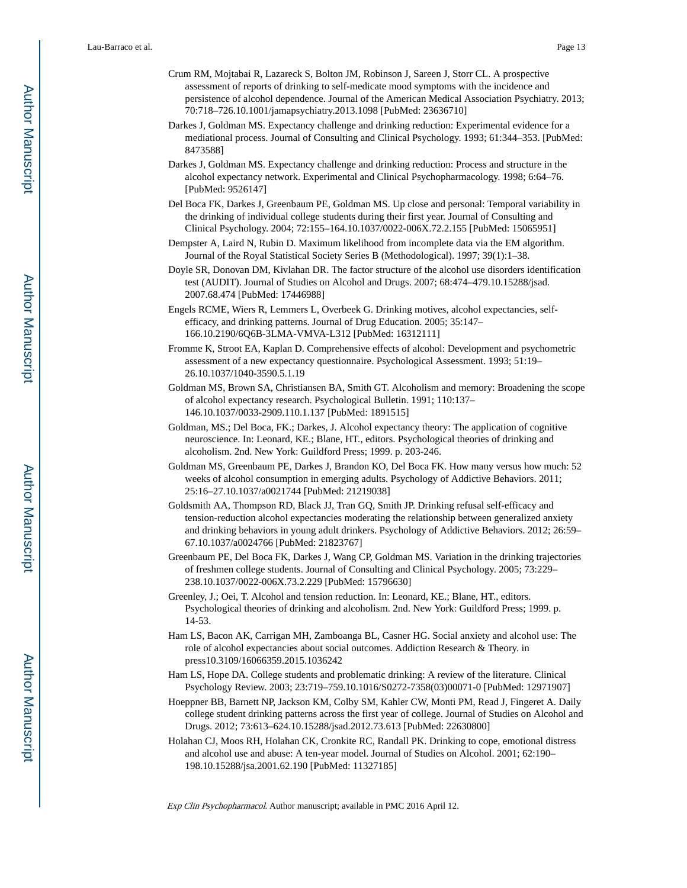- Crum RM, Mojtabai R, Lazareck S, Bolton JM, Robinson J, Sareen J, Storr CL. A prospective assessment of reports of drinking to self-medicate mood symptoms with the incidence and persistence of alcohol dependence. Journal of the American Medical Association Psychiatry. 2013; 70:718–726.10.1001/jamapsychiatry.2013.1098 [PubMed: 23636710]
- Darkes J, Goldman MS. Expectancy challenge and drinking reduction: Experimental evidence for a mediational process. Journal of Consulting and Clinical Psychology. 1993; 61:344–353. [PubMed: 8473588]
- Darkes J, Goldman MS. Expectancy challenge and drinking reduction: Process and structure in the alcohol expectancy network. Experimental and Clinical Psychopharmacology. 1998; 6:64–76. [PubMed: 9526147]
- Del Boca FK, Darkes J, Greenbaum PE, Goldman MS. Up close and personal: Temporal variability in the drinking of individual college students during their first year. Journal of Consulting and Clinical Psychology. 2004; 72:155–164.10.1037/0022-006X.72.2.155 [PubMed: 15065951]
- Dempster A, Laird N, Rubin D. Maximum likelihood from incomplete data via the EM algorithm. Journal of the Royal Statistical Society Series B (Methodological). 1997; 39(1):1–38.
- Doyle SR, Donovan DM, Kivlahan DR. The factor structure of the alcohol use disorders identification test (AUDIT). Journal of Studies on Alcohol and Drugs. 2007; 68:474–479.10.15288/jsad. 2007.68.474 [PubMed: 17446988]
- Engels RCME, Wiers R, Lemmers L, Overbeek G. Drinking motives, alcohol expectancies, selfefficacy, and drinking patterns. Journal of Drug Education. 2005; 35:147– 166.10.2190/6Q6B-3LMA-VMVA-L312 [PubMed: 16312111]
- Fromme K, Stroot EA, Kaplan D. Comprehensive effects of alcohol: Development and psychometric assessment of a new expectancy questionnaire. Psychological Assessment. 1993; 51:19– 26.10.1037/1040-3590.5.1.19
- Goldman MS, Brown SA, Christiansen BA, Smith GT. Alcoholism and memory: Broadening the scope of alcohol expectancy research. Psychological Bulletin. 1991; 110:137– 146.10.1037/0033-2909.110.1.137 [PubMed: 1891515]
- Goldman, MS.; Del Boca, FK.; Darkes, J. Alcohol expectancy theory: The application of cognitive neuroscience. In: Leonard, KE.; Blane, HT., editors. Psychological theories of drinking and alcoholism. 2nd. New York: Guildford Press; 1999. p. 203-246.
- Goldman MS, Greenbaum PE, Darkes J, Brandon KO, Del Boca FK. How many versus how much: 52 weeks of alcohol consumption in emerging adults. Psychology of Addictive Behaviors. 2011; 25:16–27.10.1037/a0021744 [PubMed: 21219038]
- Goldsmith AA, Thompson RD, Black JJ, Tran GQ, Smith JP. Drinking refusal self-efficacy and tension-reduction alcohol expectancies moderating the relationship between generalized anxiety and drinking behaviors in young adult drinkers. Psychology of Addictive Behaviors. 2012; 26:59– 67.10.1037/a0024766 [PubMed: 21823767]
- Greenbaum PE, Del Boca FK, Darkes J, Wang CP, Goldman MS. Variation in the drinking trajectories of freshmen college students. Journal of Consulting and Clinical Psychology. 2005; 73:229– 238.10.1037/0022-006X.73.2.229 [PubMed: 15796630]
- Greenley, J.; Oei, T. Alcohol and tension reduction. In: Leonard, KE.; Blane, HT., editors. Psychological theories of drinking and alcoholism. 2nd. New York: Guildford Press; 1999. p. 14-53.
- Ham LS, Bacon AK, Carrigan MH, Zamboanga BL, Casner HG. Social anxiety and alcohol use: The role of alcohol expectancies about social outcomes. Addiction Research & Theory. in press10.3109/16066359.2015.1036242
- Ham LS, Hope DA. College students and problematic drinking: A review of the literature. Clinical Psychology Review. 2003; 23:719–759.10.1016/S0272-7358(03)00071-0 [PubMed: 12971907]
- Hoeppner BB, Barnett NP, Jackson KM, Colby SM, Kahler CW, Monti PM, Read J, Fingeret A. Daily college student drinking patterns across the first year of college. Journal of Studies on Alcohol and Drugs. 2012; 73:613–624.10.15288/jsad.2012.73.613 [PubMed: 22630800]
- Holahan CJ, Moos RH, Holahan CK, Cronkite RC, Randall PK. Drinking to cope, emotional distress and alcohol use and abuse: A ten-year model. Journal of Studies on Alcohol. 2001; 62:190– 198.10.15288/jsa.2001.62.190 [PubMed: 11327185]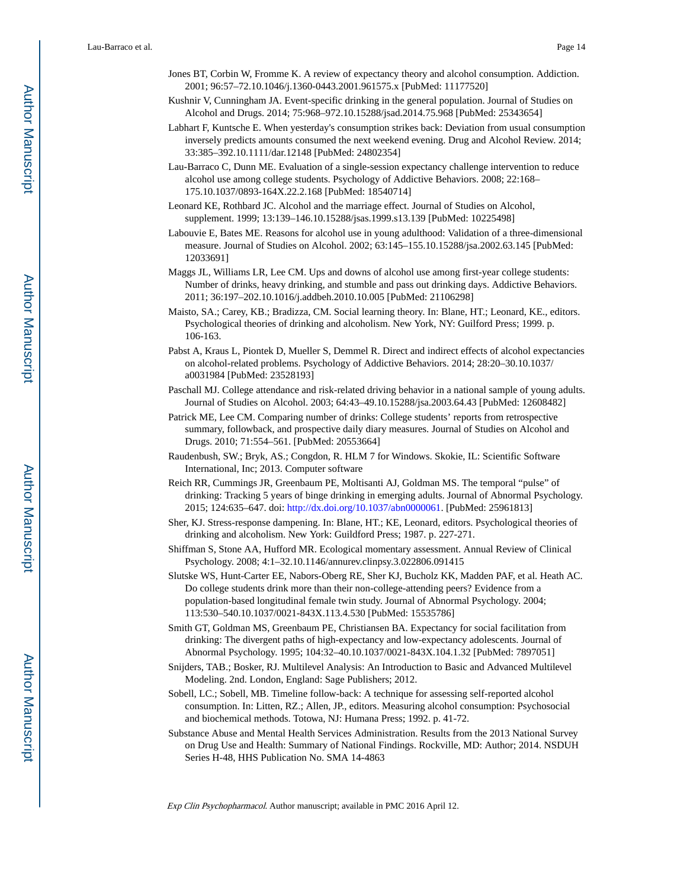- Jones BT, Corbin W, Fromme K. A review of expectancy theory and alcohol consumption. Addiction. 2001; 96:57–72.10.1046/j.1360-0443.2001.961575.x [PubMed: 11177520]
- Kushnir V, Cunningham JA. Event-specific drinking in the general population. Journal of Studies on Alcohol and Drugs. 2014; 75:968–972.10.15288/jsad.2014.75.968 [PubMed: 25343654]
- Labhart F, Kuntsche E. When yesterday's consumption strikes back: Deviation from usual consumption inversely predicts amounts consumed the next weekend evening. Drug and Alcohol Review. 2014; 33:385–392.10.1111/dar.12148 [PubMed: 24802354]
- Lau-Barraco C, Dunn ME. Evaluation of a single-session expectancy challenge intervention to reduce alcohol use among college students. Psychology of Addictive Behaviors. 2008; 22:168– 175.10.1037/0893-164X.22.2.168 [PubMed: 18540714]
- Leonard KE, Rothbard JC. Alcohol and the marriage effect. Journal of Studies on Alcohol, supplement. 1999; 13:139–146.10.15288/jsas.1999.s13.139 [PubMed: 10225498]
- Labouvie E, Bates ME. Reasons for alcohol use in young adulthood: Validation of a three-dimensional measure. Journal of Studies on Alcohol. 2002; 63:145–155.10.15288/jsa.2002.63.145 [PubMed: 12033691]
- Maggs JL, Williams LR, Lee CM. Ups and downs of alcohol use among first-year college students: Number of drinks, heavy drinking, and stumble and pass out drinking days. Addictive Behaviors. 2011; 36:197–202.10.1016/j.addbeh.2010.10.005 [PubMed: 21106298]
- Maisto, SA.; Carey, KB.; Bradizza, CM. Social learning theory. In: Blane, HT.; Leonard, KE., editors. Psychological theories of drinking and alcoholism. New York, NY: Guilford Press; 1999. p. 106-163.
- Pabst A, Kraus L, Piontek D, Mueller S, Demmel R. Direct and indirect effects of alcohol expectancies on alcohol-related problems. Psychology of Addictive Behaviors. 2014; 28:20–30.10.1037/ a0031984 [PubMed: 23528193]
- Paschall MJ. College attendance and risk-related driving behavior in a national sample of young adults. Journal of Studies on Alcohol. 2003; 64:43–49.10.15288/jsa.2003.64.43 [PubMed: 12608482]
- Patrick ME, Lee CM. Comparing number of drinks: College students' reports from retrospective summary, followback, and prospective daily diary measures. Journal of Studies on Alcohol and Drugs. 2010; 71:554–561. [PubMed: 20553664]
- Raudenbush, SW.; Bryk, AS.; Congdon, R. HLM 7 for Windows. Skokie, IL: Scientific Software International, Inc; 2013. Computer software
- Reich RR, Cummings JR, Greenbaum PE, Moltisanti AJ, Goldman MS. The temporal "pulse" of drinking: Tracking 5 years of binge drinking in emerging adults. Journal of Abnormal Psychology. 2015; 124:635–647. doi:<http://dx.doi.org/10.1037/abn0000061>. [PubMed: 25961813]
- Sher, KJ. Stress-response dampening. In: Blane, HT.; KE, Leonard, editors. Psychological theories of drinking and alcoholism. New York: Guildford Press; 1987. p. 227-271.
- Shiffman S, Stone AA, Hufford MR. Ecological momentary assessment. Annual Review of Clinical Psychology. 2008; 4:1–32.10.1146/annurev.clinpsy.3.022806.091415
- Slutske WS, Hunt-Carter EE, Nabors-Oberg RE, Sher KJ, Bucholz KK, Madden PAF, et al. Heath AC. Do college students drink more than their non-college-attending peers? Evidence from a population-based longitudinal female twin study. Journal of Abnormal Psychology. 2004; 113:530–540.10.1037/0021-843X.113.4.530 [PubMed: 15535786]
- Smith GT, Goldman MS, Greenbaum PE, Christiansen BA. Expectancy for social facilitation from drinking: The divergent paths of high-expectancy and low-expectancy adolescents. Journal of Abnormal Psychology. 1995; 104:32–40.10.1037/0021-843X.104.1.32 [PubMed: 7897051]
- Snijders, TAB.; Bosker, RJ. Multilevel Analysis: An Introduction to Basic and Advanced Multilevel Modeling. 2nd. London, England: Sage Publishers; 2012.
- Sobell, LC.; Sobell, MB. Timeline follow-back: A technique for assessing self-reported alcohol consumption. In: Litten, RZ.; Allen, JP., editors. Measuring alcohol consumption: Psychosocial and biochemical methods. Totowa, NJ: Humana Press; 1992. p. 41-72.
- Substance Abuse and Mental Health Services Administration. Results from the 2013 National Survey on Drug Use and Health: Summary of National Findings. Rockville, MD: Author; 2014. NSDUH Series H-48, HHS Publication No. SMA 14-4863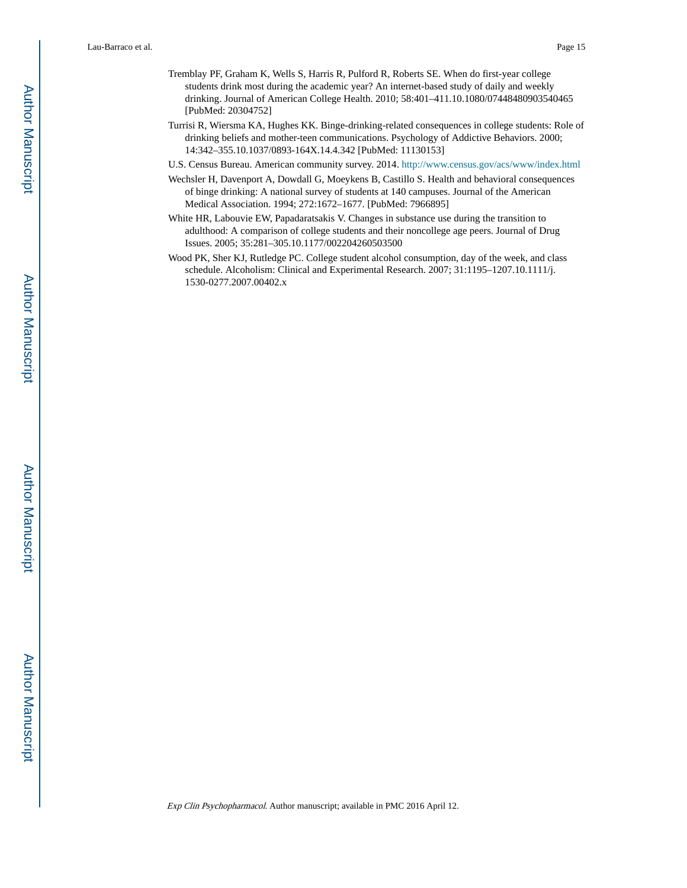- Tremblay PF, Graham K, Wells S, Harris R, Pulford R, Roberts SE. When do first-year college students drink most during the academic year? An internet-based study of daily and weekly drinking. Journal of American College Health. 2010; 58:401–411.10.1080/07448480903540465 [PubMed: 20304752]
- Turrisi R, Wiersma KA, Hughes KK. Binge-drinking-related consequences in college students: Role of drinking beliefs and mother-teen communications. Psychology of Addictive Behaviors. 2000; 14:342–355.10.1037/0893-164X.14.4.342 [PubMed: 11130153]
- U.S. Census Bureau. American community survey. 2014.<http://www.census.gov/acs/www/index.html>
- Wechsler H, Davenport A, Dowdall G, Moeykens B, Castillo S. Health and behavioral consequences of binge drinking: A national survey of students at 140 campuses. Journal of the American Medical Association. 1994; 272:1672–1677. [PubMed: 7966895]
- White HR, Labouvie EW, Papadaratsakis V. Changes in substance use during the transition to adulthood: A comparison of college students and their noncollege age peers. Journal of Drug Issues. 2005; 35:281–305.10.1177/002204260503500
- Wood PK, Sher KJ, Rutledge PC. College student alcohol consumption, day of the week, and class schedule. Alcoholism: Clinical and Experimental Research. 2007; 31:1195–1207.10.1111/j. 1530-0277.2007.00402.x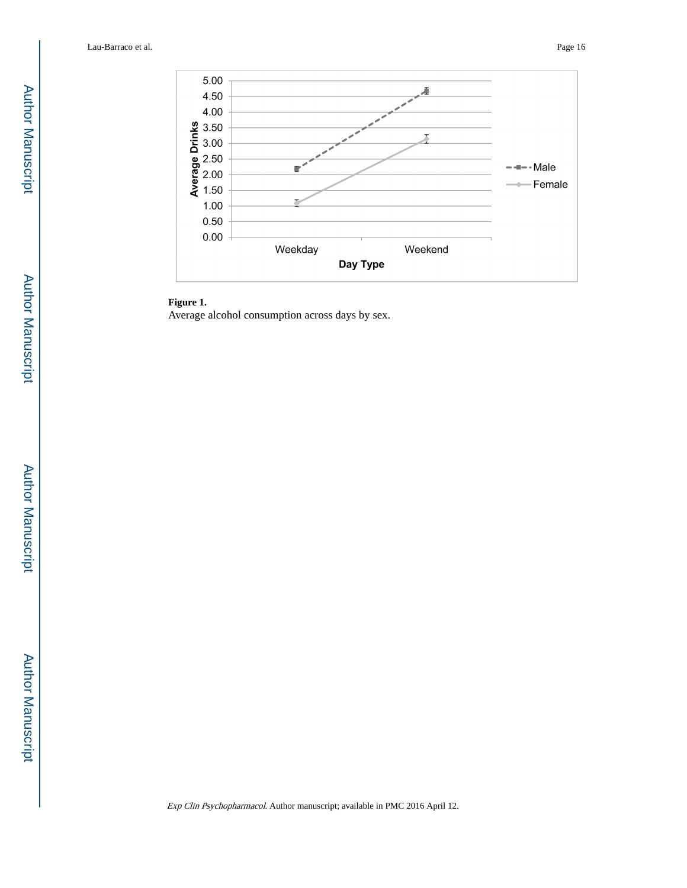

## **Figure 1.**

Average alcohol consumption across days by sex.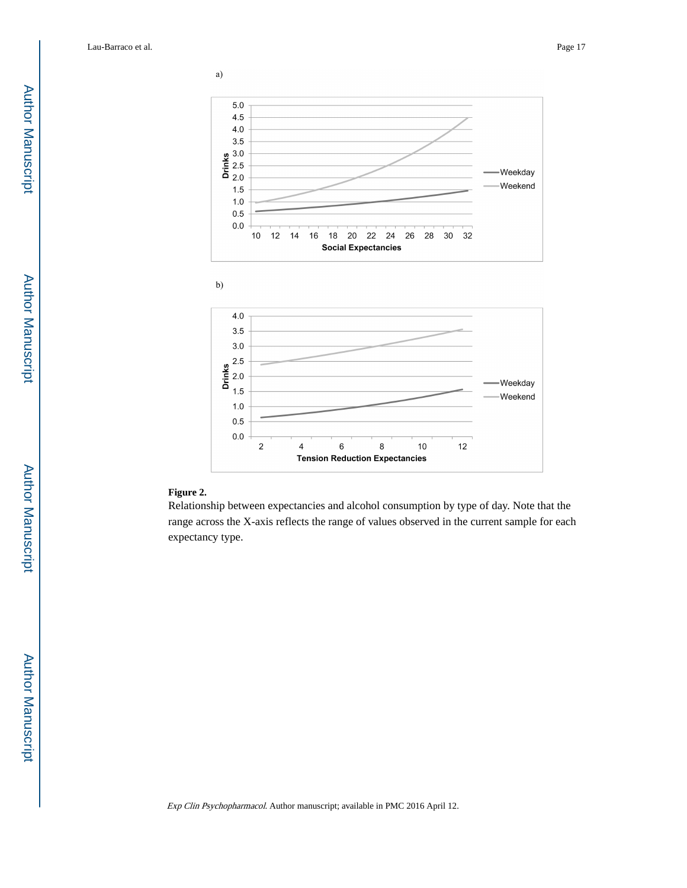



## **Figure 2.**

Relationship between expectancies and alcohol consumption by type of day. Note that the range across the X-axis reflects the range of values observed in the current sample for each expectancy type.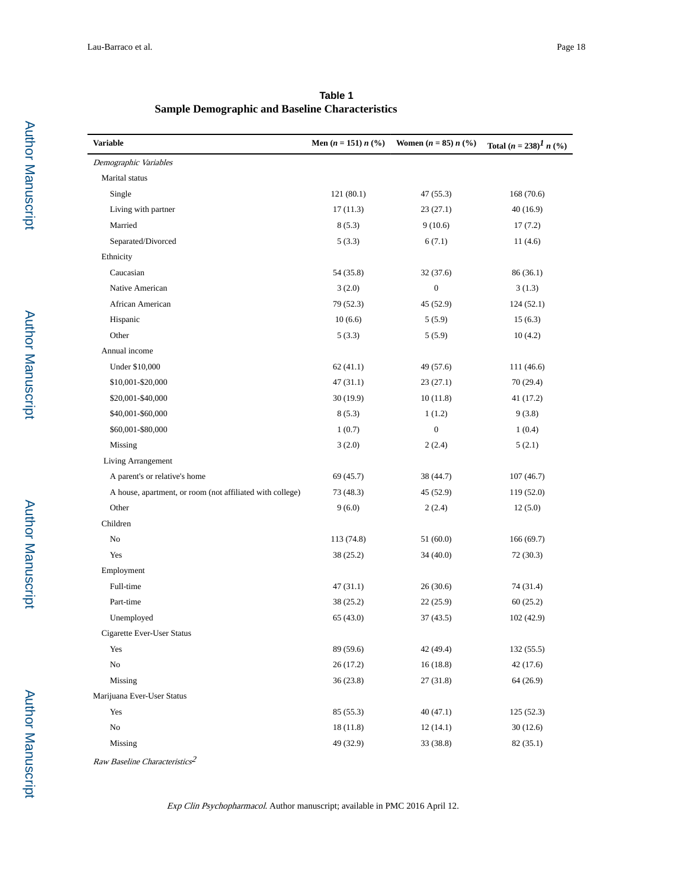| Variable                                                  | Men $(n = 151) n$ (%) | Women $(n = 85) n$ (%) | Total $(n = 238)^{1} n$ (%) |
|-----------------------------------------------------------|-----------------------|------------------------|-----------------------------|
| Demographic Variables                                     |                       |                        |                             |
| Marital status                                            |                       |                        |                             |
| Single                                                    | 121(80.1)             | 47 (55.3)              | 168 (70.6)                  |
| Living with partner                                       | 17(11.3)              | 23(27.1)               | 40 (16.9)                   |
| Married                                                   | 8(5.3)                | 9(10.6)                | 17(7.2)                     |
| Separated/Divorced                                        | 5(3.3)                | 6(7.1)                 | 11(4.6)                     |
| Ethnicity                                                 |                       |                        |                             |
| Caucasian                                                 | 54 (35.8)             | 32(37.6)               | 86 (36.1)                   |
| Native American                                           | 3(2.0)                | $\boldsymbol{0}$       | 3(1.3)                      |
| African American                                          | 79 (52.3)             | 45 (52.9)              | 124(52.1)                   |
| Hispanic                                                  | 10(6.6)               | 5(5.9)                 | 15(6.3)                     |
| Other                                                     | 5(3.3)                | 5(5.9)                 | 10(4.2)                     |
| Annual income                                             |                       |                        |                             |
| Under \$10,000                                            | 62(41.1)              | 49 (57.6)              | 111 (46.6)                  |
| \$10,001-\$20,000                                         | 47(31.1)              | 23(27.1)               | 70 (29.4)                   |
| \$20,001-\$40,000                                         | 30 (19.9)             | 10(11.8)               | 41 (17.2)                   |
| \$40,001-\$60,000                                         | 8(5.3)                | 1(1.2)                 | 9(3.8)                      |
| \$60,001-\$80,000                                         | 1(0.7)                | $\boldsymbol{0}$       | 1(0.4)                      |
| Missing                                                   | 3(2.0)                | 2(2.4)                 | 5(2.1)                      |
| Living Arrangement                                        |                       |                        |                             |
| A parent's or relative's home                             | 69 (45.7)             | 38 (44.7)              | 107(46.7)                   |
| A house, apartment, or room (not affiliated with college) | 73 (48.3)             | 45 (52.9)              | 119 (52.0)                  |
| Other                                                     | 9(6.0)                | 2(2.4)                 | 12(5.0)                     |
| Children                                                  |                       |                        |                             |
| No                                                        | 113 (74.8)            | 51(60.0)               | 166(69.7)                   |
| Yes                                                       | 38 (25.2)             | 34(40.0)               | 72 (30.3)                   |
| Employment                                                |                       |                        |                             |
| Full-time                                                 | 47(31.1)              | 26(30.6)               | 74 (31.4)                   |
| Part-time                                                 | 38 (25.2)             | 22(25.9)               | 60(25.2)                    |
| Unemployed                                                | 65(43.0)              | 37(43.5)               | 102 (42.9)                  |
| Cigarette Ever-User Status                                |                       |                        |                             |
| Yes                                                       | 89 (59.6)             | 42 (49.4)              | 132(55.5)                   |
| $\rm No$                                                  | 26 (17.2)             | 16(18.8)               | 42(17.6)                    |
| Missing                                                   | 36 (23.8)             | 27(31.8)               | 64 (26.9)                   |
| Marijuana Ever-User Status                                |                       |                        |                             |
| Yes                                                       | 85 (55.3)             | 40(47.1)               | 125(52.3)                   |
| No                                                        | 18 (11.8)             | 12(14.1)               | 30(12.6)                    |
| Missing                                                   | 49 (32.9)             | 33 (38.8)              | 82 (35.1)                   |
|                                                           |                       |                        |                             |

**Table 1 Sample Demographic and Baseline Characteristics**

Raw Baseline Characteristics $^2$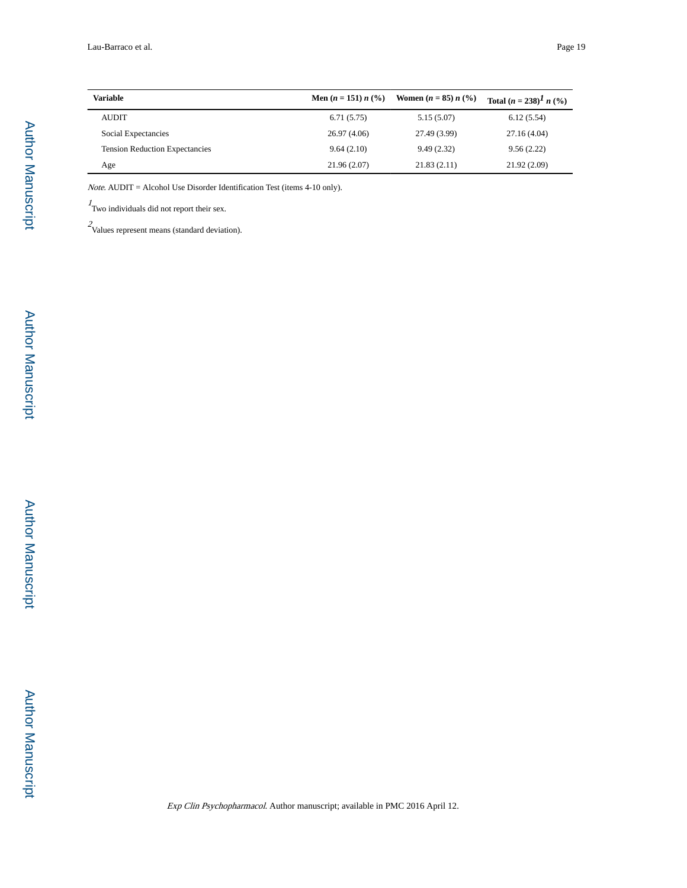| Variable                              | Men $(n = 151) n$ (%) | Women $(n = 85) n$ (%) | Total $(n = 238)^{T} n$ (%) |
|---------------------------------------|-----------------------|------------------------|-----------------------------|
| <b>AUDIT</b>                          | 6.71(5.75)            | 5.15(5.07)             | 6.12(5.54)                  |
| Social Expectancies                   | 26.97(4.06)           | 27.49 (3.99)           | 27.16(4.04)                 |
| <b>Tension Reduction Expectancies</b> | 9.64(2.10)            | 9.49(2.32)             | 9.56(2.22)                  |
| Age                                   | 21.96(2.07)           | 21.83(2.11)            | 21.92(2.09)                 |

Note. AUDIT = Alcohol Use Disorder Identification Test (items 4-10 only).

 $\frac{1}{1}$  Two individuals did not report their sex.

 $2<sub>V</sub>$ Values represent means (standard deviation).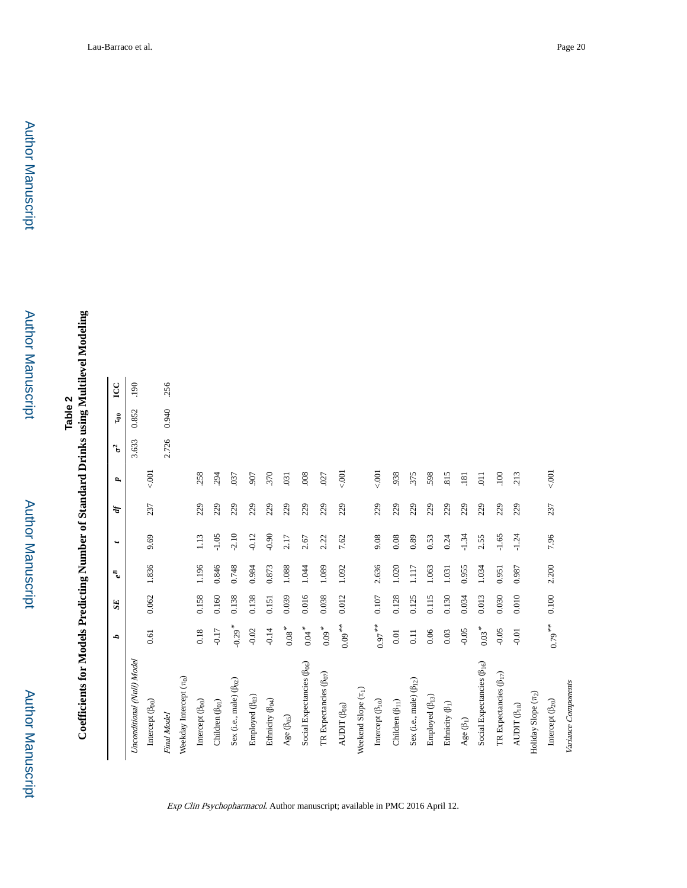**Coefficients for Models Predicting Number of Standard Drinks using Multilevel Modeling Coefficients for Models Predicting Number of Standard Drinks using Multilevel Modeling**

|                                        | d                    | SE <sub></sub> | $e^B$ | $\ddot{}$ | Ą,  | P,             | $\sigma$ | $\mathfrak{g}_0$ | LCC  |
|----------------------------------------|----------------------|----------------|-------|-----------|-----|----------------|----------|------------------|------|
| Unconditional (Null) Model             |                      |                |       |           |     |                | 3.633    | 0.852            | .190 |
| Intercept $(\beta_{00})$               | 0.61                 | 0.062          | 1.836 | 9.69      | 237 | 5001           |          |                  |      |
| Final Model                            |                      |                |       |           |     |                | 2.726    | 0.940            | 256  |
| Weekday Intercept $(\pi_0)$            |                      |                |       |           |     |                |          |                  |      |
| Intercept (B <sub>00</sub> )           | 0.18                 | 0.158          | 1.196 | 1.13      | 229 | .258           |          |                  |      |
| Children $(\beta_{01})$                | $-0.17$              | 0.160          | 0.846 | $-1.05$   | 229 | .294           |          |                  |      |
| Sex (i.e., male) ( $\beta_{02}$ )      | $-0.29$ <sup>*</sup> | 0.138          | 0.748 | $-2.10$   | 229 | .037           |          |                  |      |
| Employed (B <sub>03</sub> )            | $-0.02$              | 0.138          | 0.984 | $-0.12$   | 229 | .907           |          |                  |      |
| Ethnicity (B <sub>04</sub> )           | $-0.14$              | 0.151          | 0.873 | $-0.90$   | 229 | .370           |          |                  |      |
| Age (B <sub>05</sub> )                 | $0.08$ $^{\ast}$     | 0.039          | 1.088 | 2.17      | 229 | .031           |          |                  |      |
| Social Expectancies (B <sub>06</sub> ) | $0.04$ <sup>*</sup>  | 0.016          | 1.044 | 2.67      | 229 | $.008\,$       |          |                  |      |
| TR Expectancies $(\beta_{07})$         | $0.09$ $^{\ast}$     | 0.038          | 1.089 | 2.22      | 229 | .027           |          |                  |      |
| AUDIT (B <sub>08</sub> )               | $0.09***$            | 0.012          | 1.092 | 7.62      | 229 | 5001           |          |                  |      |
| Weekend Slope $(\pi_1)$                |                      |                |       |           |     |                |          |                  |      |
| Intercept $(\beta_{10})$               | $0.97***$            | 0.107          | 2.636 | 9.08      | 229 | 5001           |          |                  |      |
| Children $(\beta_{11})$                | $0.01\,$             | 0.128          | 1.020 | 0.08      | 229 | 938            |          |                  |      |
| Sex (i.e., male) $(\beta_{12})$        | $0.11$               | 0.125          | 1.117 | 0.89      | 229 | 375            |          |                  |      |
| Employed $(\beta_{13})$                | 0.06                 | 0.115          | 1.063 | 0.53      | 229 | 598            |          |                  |      |
| Ethnicity $(\beta_1)$                  | $0.03\,$             | 0.130          | 1.031 | 0.24      | 229 | .815           |          |                  |      |
| Age $(\beta_1)$                        | $-0.05$              | 0.034          | 0.955 | $-1.34$   | 229 | .181           |          |                  |      |
| Social Expectancies $(\beta_{16})$     | $0.03 *$             | 0.013          | 1.034 | 2.55      | 229 | $\overline{0}$ |          |                  |      |
| TR Expectancies $(\beta_{17})$         | $-0.05$              | 0.030          | 0.951 | $-1.65$   | 229 | 100            |          |                  |      |
| $\text{AUDIT}\left(\beta_{18}\right)$  | $-0.01$              | 0.010          | 0.987 | $-1.24$   | 229 | 213            |          |                  |      |
| Holiday Slope $(\pi_2)$                |                      |                |       |           |     |                |          |                  |      |
| Intercept $(\beta_{20})$               | $0.79***$            | 0.100          | 2.200 | 7.96      | 237 | 001            |          |                  |      |
| Variance Components                    |                      |                |       |           |     |                |          |                  |      |